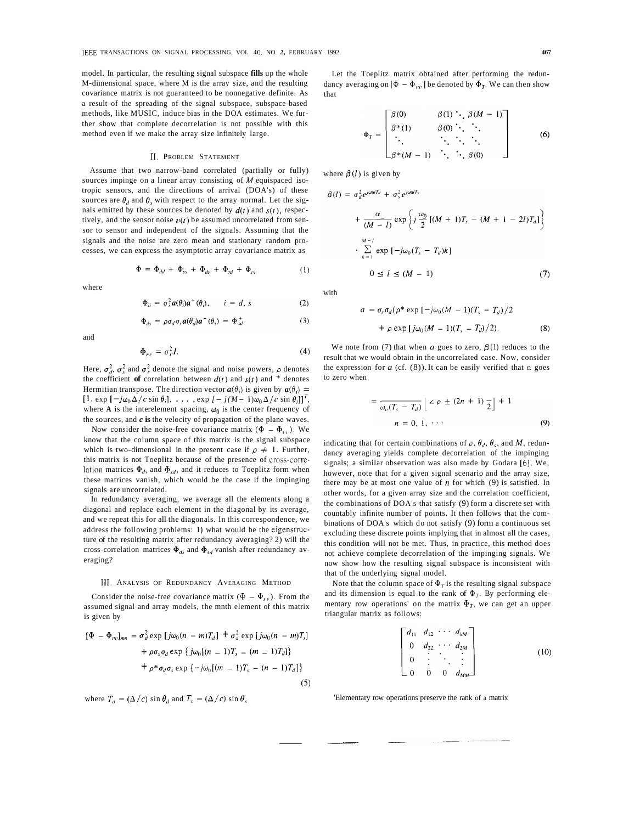model. In particular, the resulting signal subspace **fills** up the whole M-dimensional space, where M is the array size, and the resulting covariance matrix is not guaranteed to be nonnegative definite. As a result of the spreading of the signal subspace, subspace-based methods, like MUSIC, induce bias in the DOA estimates. We further show that complete decorrelation is not possible with this method even if we make the array size infinitely large.

## 11. PROBLEM STATEMENT

Assume that two narrow-band correlated (partially or fully) sources impinge on a linear array consisting of *M* equispaced isotropic sensors, and the directions of arrival (DOA's) of these sources are  $\theta_d$  and  $\theta_s$  with respect to the array normal. Let the signals emitted by these sources be denoted by  $d(t)$  and  $s(t)$ , respectively, and the sensor noise  $v(t)$  be assumed uncorrelated from sensor to sensor and independent of the signals. Assuming that the signals and the noise are zero mean and stationary random processes, we can express the asymptotic array covariance matrix as

$$
\Phi = \Phi_{dd} + \Phi_{ss} + \Phi_{ds} + \Phi_{sd} + \Phi_{vt} \tag{1}
$$

where

$$
\Phi_{ii} = \sigma_i^2 \mathbf{a}(\theta_i) \mathbf{a}^+(\theta_i), \qquad i = d, \, s \tag{2}
$$

$$
\Phi_{ds} = \rho \sigma_d \sigma_s a(\theta_d) a^+ (\theta_s) = \Phi_{sd}^+ \tag{3}
$$

and

$$
\Phi_{rr} = \sigma_r^2 I. \tag{4}
$$

Here,  $\sigma_d^2$ ,  $\sigma_s^2$  and  $\sigma_t^2$  denote the signal and noise powers,  $\rho$  denotes the coefficient of correlation between  $d(t)$  and  $s(t)$  and  $\dot{t}$  denotes Hermitian transpose. The direction vector  $a(\theta_i)$  is given by  $a(\theta_i)$  =  $[1, \exp[-j\omega_0\Delta/c \sin\theta_i], \dots, \exp[-j(M-1)\omega_0\Delta/c \sin\theta_i]]^T$ where **A** is the interelement spacing,  $\omega_0$  is the center frequency of the sources, and *c* **is** the velocity of propagation of the plane waves.

Now consider the noise-free covariance matrix  $(\Phi - \Phi_{\nu})$ . We know that the column space of this matrix is the signal subspace which is two-dimensional in the present case if  $\rho \neq 1$ . Further, this matrix is not Toeplitz because of the presence of cross-correlation matrices  $\Phi_{ds}$  and  $\Phi_{sd}$ , and it reduces to Toeplitz form when these matrices vanish, which would be the case if the impinging signals are uncorrelated.

In redundancy averaging, we average all the elements along a diagonal and replace each element in the diagonal by its average, and we repeat this for all the diagonals. In this correspondence, we address the following problems: **1)** what would be the eigenstructure of the resulting matrix after redundancy averaging? 2) will the cross-correlation matrices  $\Phi_{ds}$  and  $\Phi_{sd}$  vanish after redundancy averaging?

## 111. ANALYSIS OF REDUNDANCY AVERAGING METHOD

Consider the noise-free covariance matrix  $(\Phi - \Phi_{rr})$ . From the assumed signal and array models, the mnth element of this matrix is given by

$$
[\Phi - \Phi_{vv}]_{mn} = \sigma_d^2 \exp [j\omega_0(n - m)T_d] + \sigma_s^2 \exp [j\omega_0(n - m)T_s]
$$
  
+  $\rho \sigma_s \sigma_d \exp \{j\omega_0[(n - 1)T_s - (m - 1)T_d]\}$   
+  $\rho^* \sigma_d \sigma_s \exp \{-j\omega_0[(m - 1)T_s - (n - 1)T_d]\}$  (5)

where  $T_d = (\Delta/c) \sin \theta_d$  and  $T_s = (\Delta/c) \sin \theta_s$ 

Let the Toeplitz matrix obtained after performing the redundancy averaging on  $[\Phi - \Phi_{\mu\nu}]$  be denoted by  $\Phi_T$ . We can then show that

$$
\Phi_T = \begin{bmatrix} \beta(0) & \beta(1) \cdot \beta(M-1) \\ \beta^*(1) & \beta(0) \cdot \cdot \cdot \\ \cdot & \cdot \cdot \cdot \cdot \\ \beta^*(M-1) & \cdot \cdot \cdot \cdot \beta(0) \end{bmatrix} \tag{6}
$$

where  $\beta$ (*l*) is given by

$$
(l) = \sigma_d^2 e^{j\omega_0/T_d} + \sigma_s^2 e^{j\omega_0/T_t}
$$
  
+ 
$$
\frac{\alpha}{(M-l)} \exp\left\{j\frac{\omega_0}{2}[(M+1)T_s - (M+1-2l)T_d]\right\}
$$
  
. 
$$
\sum_{k=1}^{M-l} \exp[-j\omega_0(T_s - T_d)k]
$$
  

$$
0 \le l \le (M-1)
$$
 (7)

with

 $\beta$ 

$$
a = \sigma_s \sigma_d (\rho^* \exp\left[-j\omega_0 (M-1)(T_s - T_d)/2\right]
$$
  
+  $\rho \exp\left[j\omega_0 (M-1)(T_s - T_d)/2\right)$ . (8)

We note from (7) that when  $a$  goes to zero,  $\beta$  (1) reduces to the result that we would obtain in the uncorrelated case. Now, consider the expression for *a* (cf. (8)). It can be easily verified that  $\alpha$  goes to zero when

$$
= \frac{1}{\omega_o (T_s - T_d)} \left[ \frac{2 \rho \pm (2n + 1)}{2} \right] + 1
$$
  

$$
n = 0, 1, \cdots
$$
 (9)

indicating that for certain combinations of  $\rho$ ,  $\theta_d$ ,  $\theta_s$ , and *M*, redundancy averaging yields complete decorrelation of the impinging signals; a similar observation was also made by Godara [6]. We, however, note that for a given signal scenario and the array size, there may be at most one value of  $n$  for which (9) is satisfied. In other words, for a given array size and the correlation coefficient, the combinations of DOA's that satisfy (9) form a discrete set with countably infinite number of points. It then follows that the combinations of DOA's which do not satisfy (9) form a continuous set excluding these discrete points implying that in almost all the cases, this condition will not be met. Thus, in practice, this method does not achieve complete decorrelation of the impinging signals. We now show how the resulting signal subspace is inconsistent with that of the underlying signal model.

Note that the column space of  $\Phi_T$  is the resulting signal subspace and its dimension is equal to the rank of  $\Phi_T$ . By performing elementary row operations' on the matrix  $\Phi_T$ , we can get an upper triangular matrix as follows:

$$
\begin{bmatrix} d_{11} & d_{12} & \cdots & d_{1M} \\ 0 & d_{22} & \cdots & d_{2M} \\ 0 & \vdots & \ddots & \vdots \\ 0 & 0 & 0 & d_{MM} \end{bmatrix}
$$
 (10)

'Elementary row operations preserve the rank of a matrix